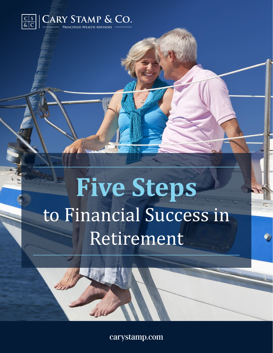

# **Five Steps**  to Financial Success in Retirement

carystamp.com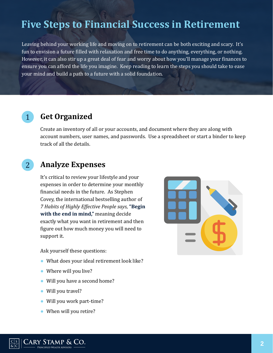## **Five Steps to Financial Success in Retirement**

Leaving behind your working life and moving on to retirement can be both exciting and scary. It's fun to envision a future filled with relaxation and free time to do anything, everything, or nothing. However, it can also stir up a great deal of fear and worry about how you'll manage your finances to ensure you can afford the life you imagine. Keep reading to learn the steps you should take to ease your mind and build a path to a future with a solid foundation.

### 1 **Get Organized**

Create an inventory of all or your accounts, and document where they are along with account numbers, user names, and passwords. Use a spreadsheet or start a binder to keep track of all the details.

## 2 **Analyze Expenses**

It's critical to review your lifestyle and your expenses in order to determine your monthly financial needs in the future. As Stephen Covey, the international bestselling author of *7 Habits of Highly Effective People says*, **"Begin with the end in mind,"** meaning decide exactly what you want in retirement and then figure out how much money you will need to support it.

Ask yourself these questions:

- What does your ideal retirement look like?
- Where will you live?
- Will you have a second home?
- Will you travel?
- Will you work part-time?
- When will you retire?



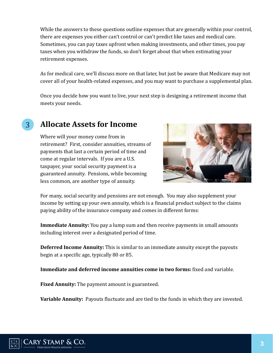While the answers to these questions outline expenses that are generally within your control, there are expenses you either can't control or can't predict like taxes and medical care. Sometimes, you can pay taxes upfront when making investments, and other times, you pay taxes when you withdraw the funds, so don't forget about that when estimating your retirement expenses.

As for medical care, we'll discuss more on that later, but just be aware that Medicare may not cover all of your health-related expenses, and you may want to purchase a supplemental plan.

Once you decide how you want to live, your next step is designing a retirement income that meets your needs.

## 3 **Allocate Assets for Income**

Where will your money come from in retirement? First, consider annuities, streams of payments that last a certain period of time and come at regular intervals. If you are a U.S. taxpayer, your social security payment is a guaranteed annuity. Pensions, while becoming less common, are another type of annuity.



For many, social security and pensions are not enough. You may also supplement your income by setting up your own annuity, which is a financial product subject to the claims paying ability of the insurance company and comes in different forms:

**Immediate Annuity:** You pay a lump sum and then receive payments in small amounts including interest over a designated period of time.

**Deferred Income Annuity:** This is similar to an immediate annuity except the payouts begin at a specific age, typically 80 or 85.

**Immediate and deferred income annuities come in two forms:** fixed and variable.

**Fixed Annuity:** The payment amount is guaranteed.

**Variable Annuity:** Payouts fluctuate and are tied to the funds in which they are invested.

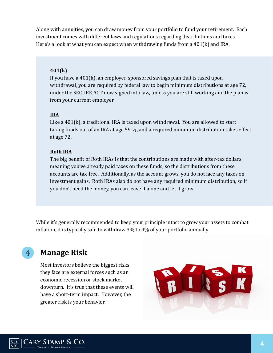Along with annuities, you can draw money from your portfolio to fund your retirement. Each investment comes with different laws and regulations regarding distributions and taxes. Here's a look at what you can expect when withdrawing funds from a 401(k) and IRA.

#### **401(k)**

If you have a 401(k), an employer-sponsored savings plan that is taxed upon withdrawal, you are required by federal law to begin minimum distributions at age 72, under the SECURE ACT now signed into law, unless you are still working and the plan is from your current employer.

#### **IRA**

Like a 401(k), a traditional IRA is taxed upon withdrawal. You are allowed to start taking funds out of an IRA at age 59 ½, and a required minimum distribution takes effect at age 72.

#### **Roth IRA**

The big benefit of Roth IRAs is that the contributions are made with after-tax dollars, meaning you've already paid taxes on these funds, so the distributions from these accounts are tax-free. Additionally, as the account grows, you do not face any taxes on investment gains. Roth IRAs also do not have any required minimum distribution, so if you don't need the money, you can leave it alone and let it grow.

While it's generally recommended to keep your principle intact to grow your assets to combat inflation, it is typically safe to withdraw 3% to 4% of your portfolio annually.

## 4 **Manage Risk**

Most investors believe the biggest risks they face are external forces such as an economic recession or stock market downturn. It's true that these events will have a short-term impact. However, the greater risk is your behavior.

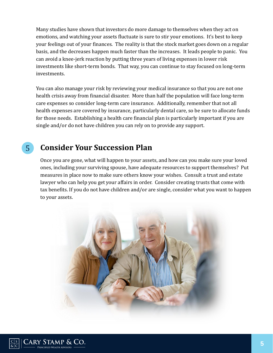Many studies have shown that investors do more damage to themselves when they act on emotions, and watching your assets fluctuate is sure to stir your emotions. It's best to keep your feelings out of your finances. The reality is that the stock market goes down on a regular basis, and the decreases happen much faster than the increases. It leads people to panic. You can avoid a knee-jerk reaction by putting three years of living expenses in lower risk investments like short-term bonds. That way, you can continue to stay focused on long-term investments.

You can also manage your risk by reviewing your medical insurance so that you are not one health crisis away from financial disaster. More than half the population will face long-term care expenses so consider long-term care insurance. Additionally, remember that not all health expenses are covered by insurance, particularly dental care, so be sure to allocate funds for those needs. Establishing a health care financial plan is particularly important if you are single and/or do not have children you can rely on to provide any support.

## 5 **Consider Your Succession Plan**

Once you are gone, what will happen to your assets, and how can you make sure your loved ones, including your surviving spouse, have adequate resources to support themselves? Put measures in place now to make sure others know your wishes. Consult a trust and estate lawyer who can help you get your affairs in order. Consider creating trusts that come with tax benefits. If you do not have children and/or are single, consider what you want to happen to your assets.



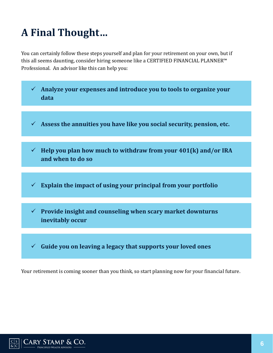# **A Final Thought…**

You can certainly follow these steps yourself and plan for your retirement on your own, but if this all seems daunting, consider hiring someone like a CERTIFIED FINANCIAL PLANNER™ Professional. An advisor like this can help you:



Your retirement is coming sooner than you think, so start planning now for your financial future.